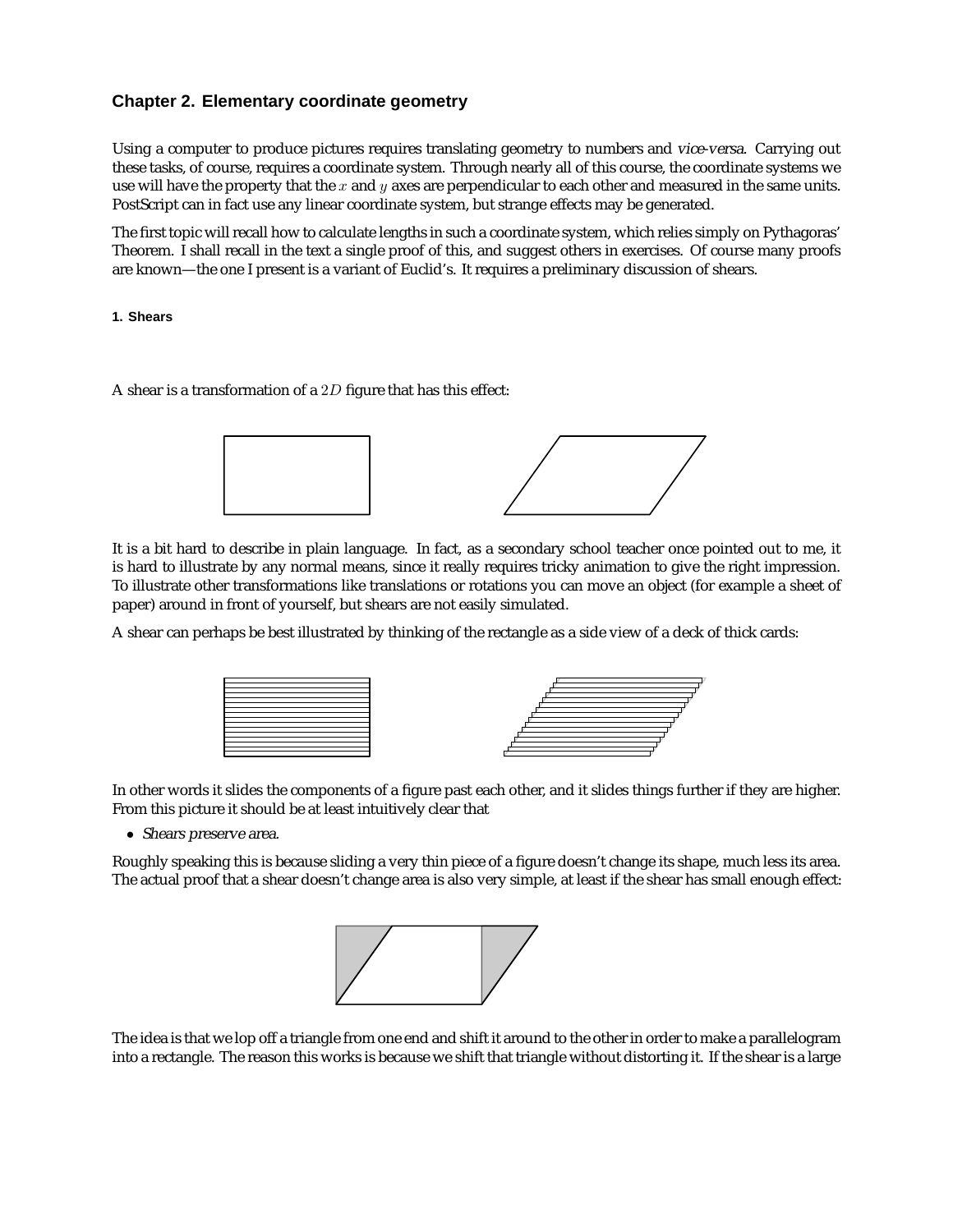# **Chapter 2. Elementary coordinate geometry**

Using a computer to produce pictures requires translating geometry to numbers and vice-versa. Carrying out these tasks, of course, requires a coordinate system. Through nearly all of this course, the coordinate systems we use will have the property that the  $x$  and  $y$  axes are perpendicular to each other and measured in the same units. PostScript can in fact use any linear coordinate system, but strange effects may be generated.

The first topic will recall how to calculate lengths in such a coordinate system, which relies simply on Pythagoras' Theorem. I shall recall in the text a single proof of this, and suggest others in exercises. Of course many proofs are known—the one I present is a variant of Euclid's. It requires a preliminary discussion of shears.

**1. Shears**

A shear is a transformation of a  $2D$  figure that has this effect:



It is a bit hard to describe in plain language. In fact, as a secondary school teacher once pointed out to me, it is hard to illustrate by any normal means, since it really requires tricky animation to give the right impression. To illustrate other transformations like translations or rotations you can move an object (for example a sheet of paper) around in front of yourself, but shears are not easily simulated.

A shear can perhaps be best illustrated by thinking of the rectangle as a side view of a deck of thick cards:





In other words it slides the components of a figure past each other, and it slides things further if they are higher. From this picture it should be at least intuitively clear that

• Shears preserve area.

Roughly speaking this is because sliding a very thin piece of a figure doesn't change its shape, much less its area. The actual proof that a shear doesn't change area is also very simple, at least if the shear has small enough effect:



The idea is that we lop off a triangle from one end and shift it around to the other in order to make a parallelogram into a rectangle. The reason this works is because we shift that triangle without distorting it. If the shear is a large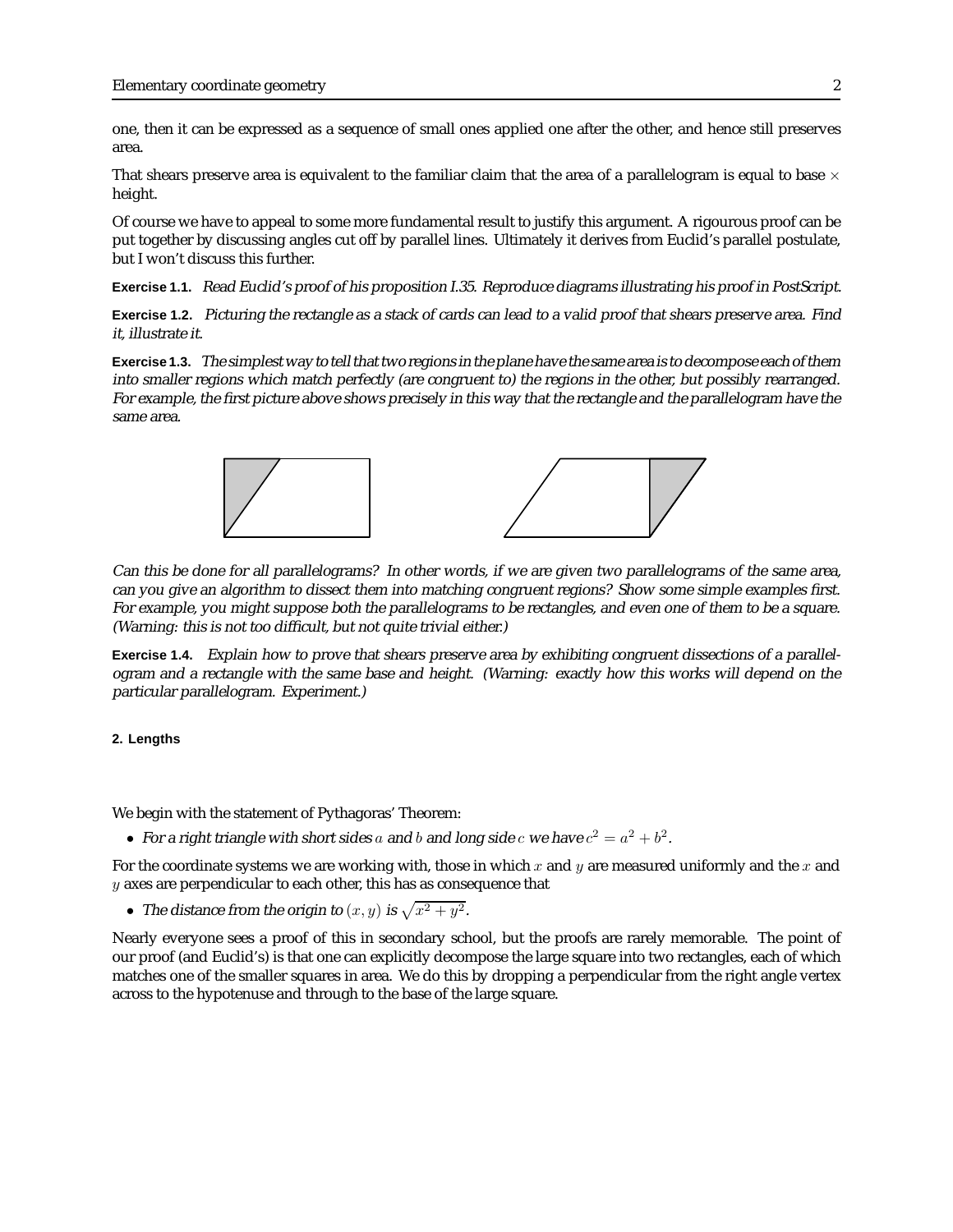one, then it can be expressed as a sequence of small ones applied one after the other, and hence still preserves area.

That shears preserve area is equivalent to the familiar claim that the area of a parallelogram is equal to base  $\times$ height.

Of course we have to appeal to some more fundamental result to justify this argument. A rigourous proof can be put together by discussing angles cut off by parallel lines. Ultimately it derives from Euclid's parallel postulate, but I won't discuss this further.

**Exercise 1.1.** Read Euclid's proof of his proposition I.35. Reproduce diagrams illustrating his proof in PostScript.

**Exercise 1.2.** Picturing the rectangle as <sup>a</sup> stack of cards can lead to <sup>a</sup> valid proof that shears preserve area. Find it, illustrate it.

**Exercise 1.3.** The simplest way to tell that two regions in the plane have the same area is to decompose each of them into smaller regions which match perfectly (are congruent to) the regions in the other, but possibly rearranged. For example, the first picture above shows precisely in this way that the rectangle and the parallelogram have the same area.



Can this be done for all parallelograms? In other words, if we are given two parallelograms of the same area, can you give an algorithm to dissect them into matching congruent regions? Show some simple examples first. For example, you might suppose both the parallelograms to be rectangles, and even one of them to be <sup>a</sup> square. (Warning: this is not too difficult, but not quite trivial either.)

**Exercise 1.4.** Explain how to prove that shears preserve area by exhibiting congruent dissections of <sup>a</sup> parallelogram and <sup>a</sup> rectangle with the same base and height. (Warning: exactly how this works will depend on the particular parallelogram. Experiment.)

#### **2. Lengths**

We begin with the statement of Pythagoras' Theorem:

• For a right triangle with short sides a and b and long side c we have  $c^2 = a^2 + b^2$ .

For the coordinate systems we are working with, those in which x and y are measured uniformly and the x and  $y$  axes are perpendicular to each other, this has as consequence that

• The distance from the origin to  $(x, y)$  is  $\sqrt{x^2 + y^2}$ .

Nearly everyone sees a proof of this in secondary school, but the proofs are rarely memorable. The point of our proof (and Euclid's) is that one can explicitly decompose the large square into two rectangles, each of which matches one of the smaller squares in area. We do this by dropping a perpendicular from the right angle vertex across to the hypotenuse and through to the base of the large square.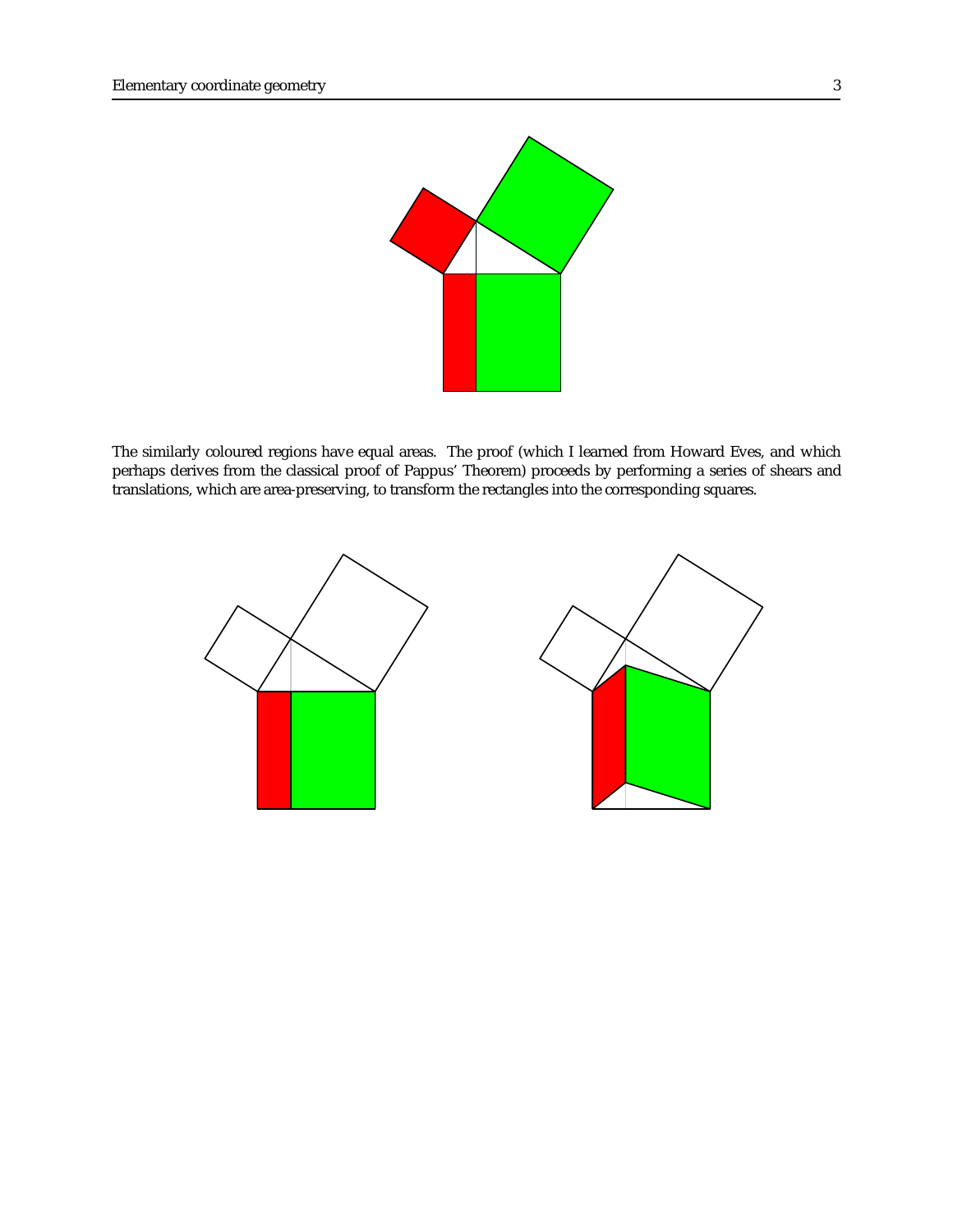

The similarly coloured regions have equal areas. The proof (which I learned from Howard Eves, and which perhaps derives from the classical proof of Pappus' Theorem) proceeds by performing a series of shears and translations, which are area-preserving, to transform the rectangles into the corresponding squares.

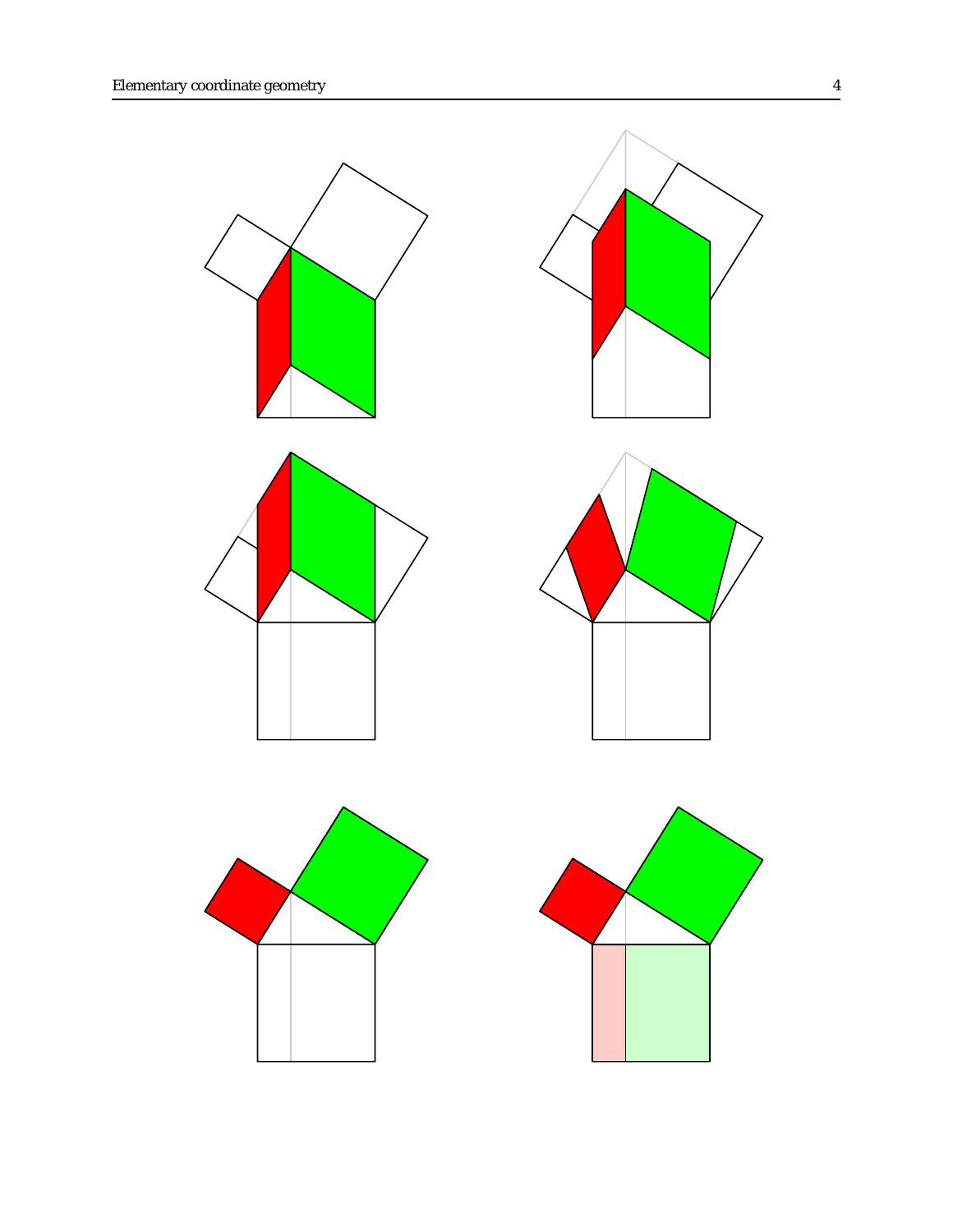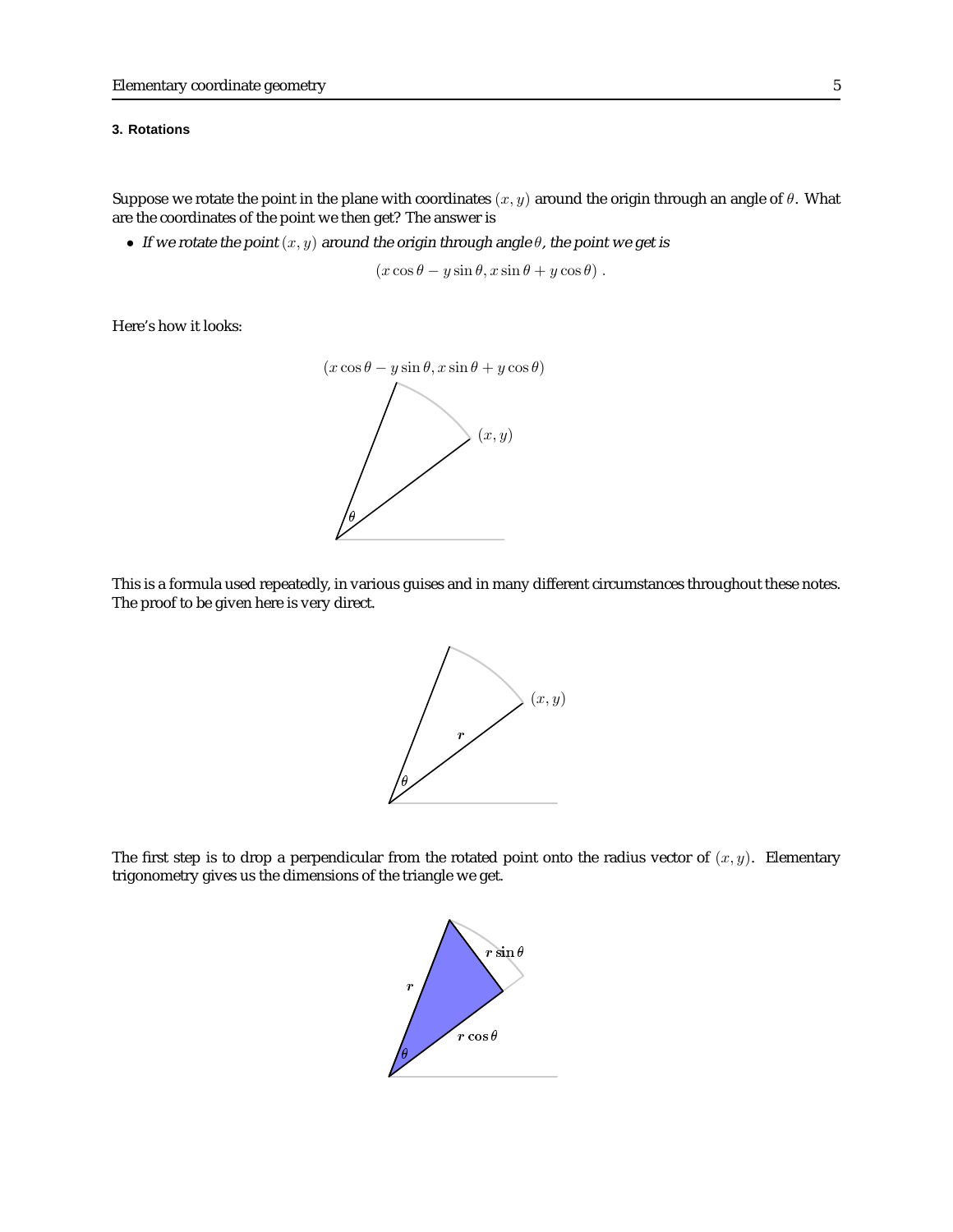### **3. Rotations**

Suppose we rotate the point in the plane with coordinates  $(x, y)$  around the origin through an angle of  $\theta$ . What are the coordinates of the point we then get? The answer is

• If we rotate the point  $(x, y)$  around the origin through angle  $\theta$ , the point we get is

$$
(x\cos\theta - y\sin\theta, x\sin\theta + y\cos\theta).
$$

Here's how it looks:



This is a formula used repeatedly, in various guises and in many different circumstances throughout these notes. The proof to be given here is very direct.



The first step is to drop a perpendicular from the rotated point onto the radius vector of  $(x, y)$ . Elementary trigonometry gives us the dimensions of the triangle we get.

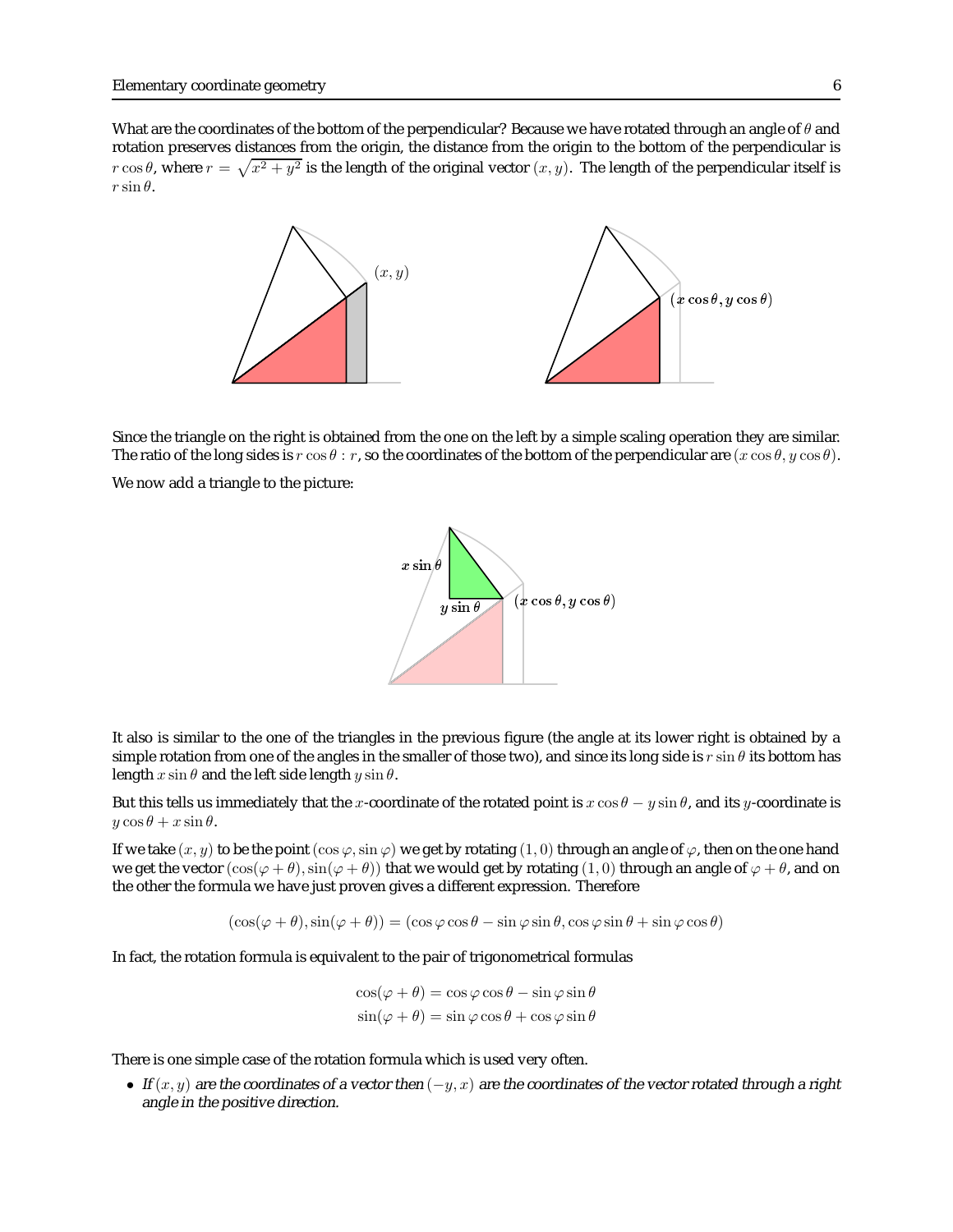What are the coordinates of the bottom of the perpendicular? Because we have rotated through an angle of  $\theta$  and rotation preserves distances from the origin, the distance from the origin to the bottom of the perpendicular is  $r \cos \theta$ , where  $r = \sqrt{x^2 + y^2}$  is the length of the original vector  $(x, y)$ . The length of the perpendicular itself is  $r \sin \theta$ .



Since the triangle on the right is obtained from the one on the left by a simple scaling operation they are similar. The ratio of the long sides is  $r \cos \theta$ : r, so the coordinates of the bottom of the perpendicular are  $(x \cos \theta, y \cos \theta)$ .

We now add a triangle to the picture:



It also is similar to the one of the triangles in the previous figure (the angle at its lower right is obtained by a simple rotation from one of the angles in the smaller of those two), and since its long side is  $r \sin \theta$  its bottom has length  $x \sin \theta$  and the left side length  $y \sin \theta$ .

But this tells us immediately that the x-coordinate of the rotated point is  $x \cos \theta - y \sin \theta$ , and its y-coordinate is  $y \cos \theta + x \sin \theta$ .

If we take  $(x, y)$  to be the point  $(\cos \varphi, \sin \varphi)$  we get by rotating  $(1, 0)$  through an angle of  $\varphi$ , then on the one hand we get the vector  $(\cos(\varphi + \theta), \sin(\varphi + \theta))$  that we would get by rotating  $(1, 0)$  through an angle of  $\varphi + \theta$ , and on the other the formula we have just proven gives a different expression. Therefore

 $(\cos(\varphi + \theta), \sin(\varphi + \theta)) = (\cos \varphi \cos \theta - \sin \varphi \sin \theta, \cos \varphi \sin \theta + \sin \varphi \cos \theta)$ 

In fact, the rotation formula is equivalent to the pair of trigonometrical formulas

$$
\cos(\varphi + \theta) = \cos\varphi\cos\theta - \sin\varphi\sin\theta
$$
  

$$
\sin(\varphi + \theta) = \sin\varphi\cos\theta + \cos\varphi\sin\theta
$$

There is one simple case of the rotation formula which is used very often.

• If  $(x, y)$  are the coordinates of a vector then  $(-y, x)$  are the coordinates of the vector rotated through a right angle in the positive direction.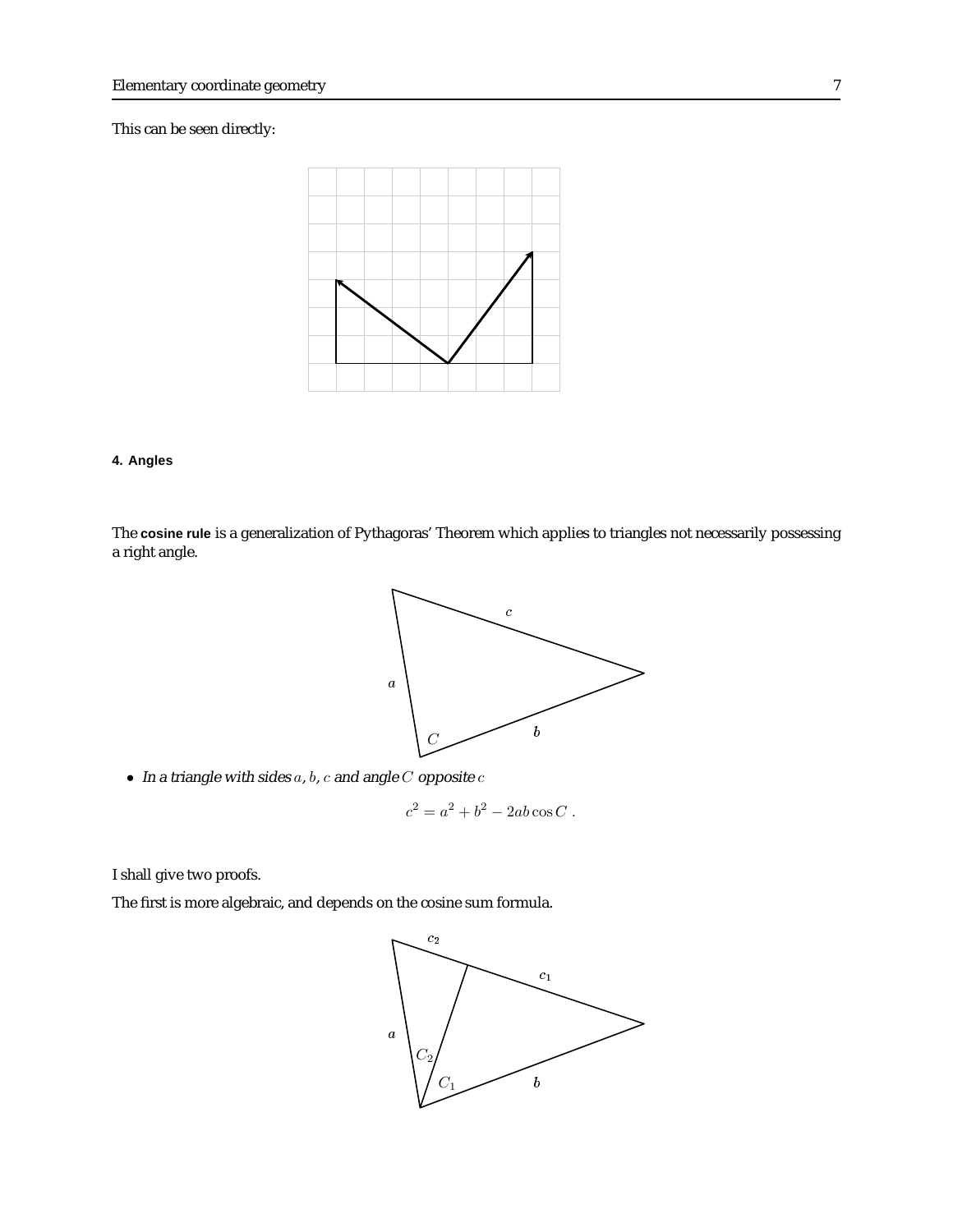## This can be seen directly:



### **4. Angles**

The **cosine rule** is a generalization of Pythagoras' Theorem which applies to triangles not necessarily possessing a right angle.



• In a triangle with sides  $a, b, c$  and angle  $C$  opposite  $c$ 

$$
c^2 = a^2 + b^2 - 2ab\cos C \; .
$$

I shall give two proofs.

The first is more algebraic, and depends on the cosine sum formula.

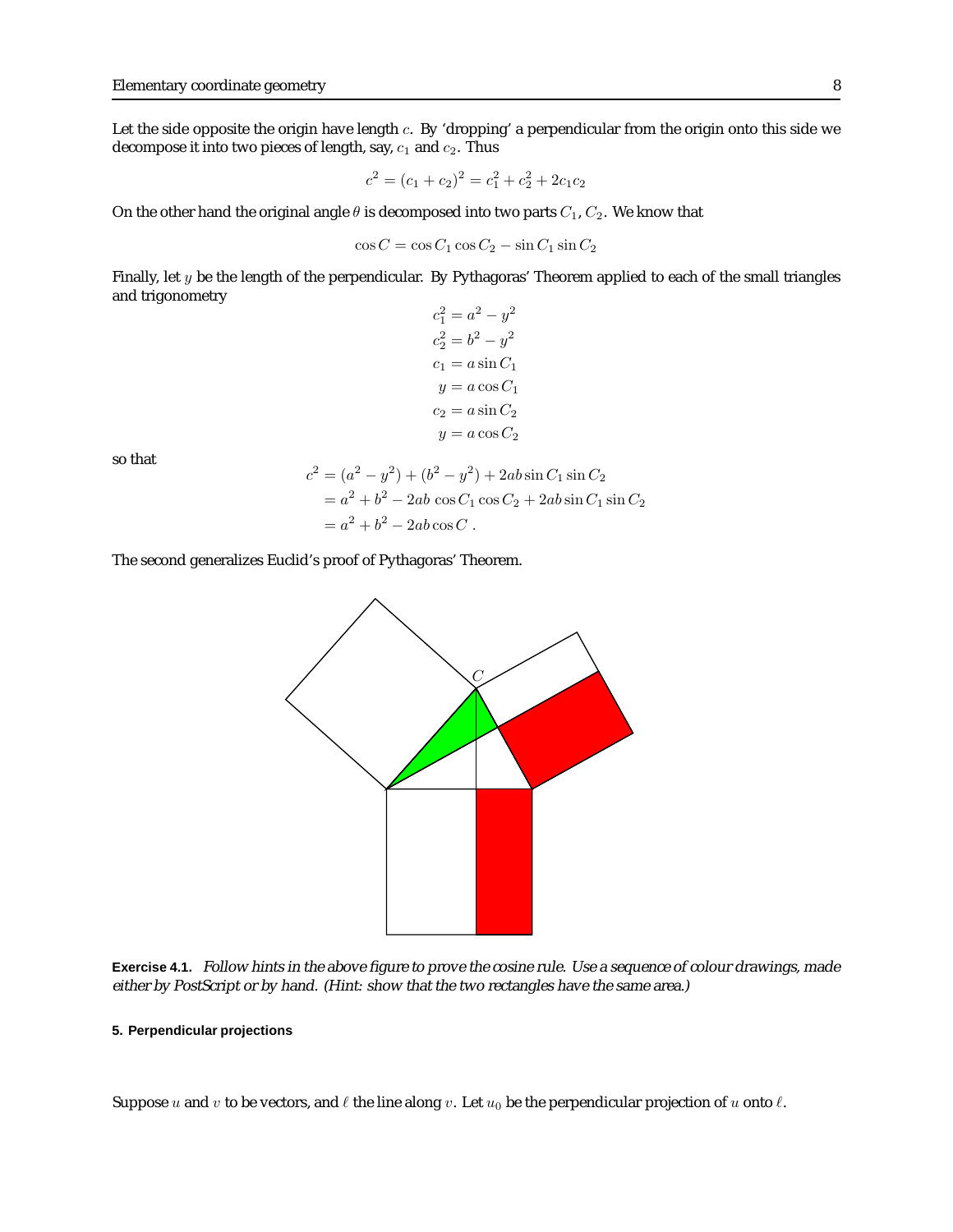Let the side opposite the origin have length  $c$ . By 'dropping' a perpendicular from the origin onto this side we decompose it into two pieces of length, say,  $c_1$  and  $c_2$ . Thus

$$
c2 = (c1 + c2)2 = c12 + c22 + 2c1c2
$$

On the other hand the original angle  $\theta$  is decomposed into two parts  $C_1$ ,  $C_2$ . We know that

$$
\cos C = \cos C_1 \cos C_2 - \sin C_1 \sin C_2
$$

Finally, let  $y$  be the length of the perpendicular. By Pythagoras' Theorem applied to each of the small triangles and trigonometry

$$
c_1^2 = a^2 - y^2
$$
  
\n
$$
c_2^2 = b^2 - y^2
$$
  
\n
$$
c_1 = a \sin C_1
$$
  
\n
$$
y = a \cos C_1
$$
  
\n
$$
c_2 = a \sin C_2
$$
  
\n
$$
y = a \cos C_2
$$

so that

$$
c2 = (a2 - y2) + (b2 - y2) + 2ab \sin C1 \sin C2
$$
  
= a<sup>2</sup> + b<sup>2</sup> - 2ab cos C<sub>1</sub> cos C<sub>2</sub> + 2ab sin C<sub>1</sub> sin C<sub>2</sub>  
= a<sup>2</sup> + b<sup>2</sup> - 2ab cos C.

The second generalizes Euclid's proof of Pythagoras' Theorem.



**Exercise 4.1.** Follow hints in the above figure to prove the cosine rule. Use <sup>a</sup> sequence of colour drawings, made either by PostScript or by hand. (Hint: show that the two rectangles have the same area.)

### **5. Perpendicular projections**

Suppose u and v to be vectors, and  $\ell$  the line along v. Let  $u_0$  be the perpendicular projection of u onto  $\ell$ .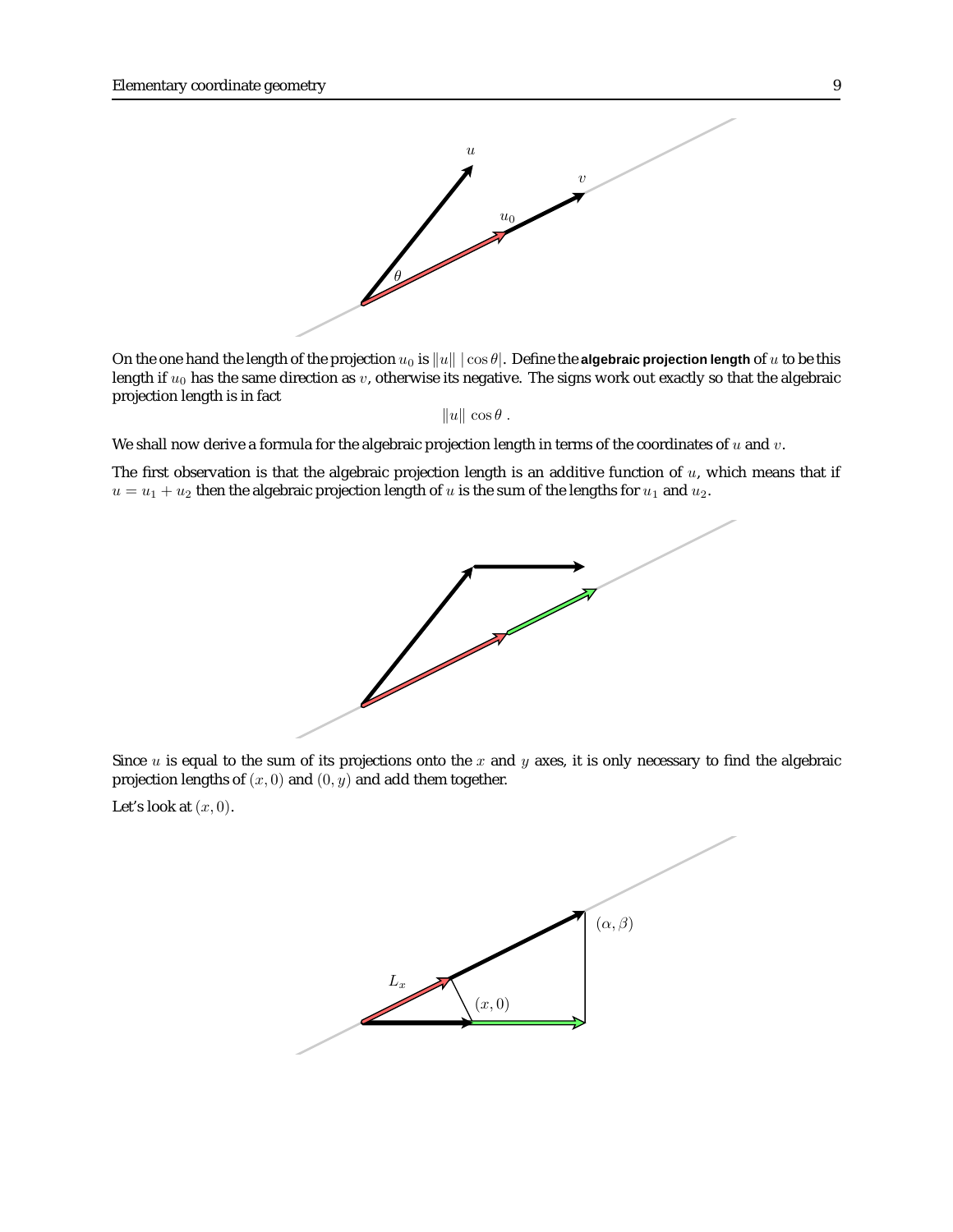

On the one hand the length of the projection  $u_0$  is  $||u|| \cos \theta$ . Define the **algebraic projection length** of u to be this length if  $u_0$  has the same direction as v, otherwise its negative. The signs work out exactly so that the algebraic projection length is in fact

 $\|u\| \cos \theta$ .

We shall now derive a formula for the algebraic projection length in terms of the coordinates of  $u$  and  $v$ .

The first observation is that the algebraic projection length is an additive function of  $u$ , which means that if  $u = u_1 + u_2$  then the algebraic projection length of u is the sum of the lengths for  $u_1$  and  $u_2$ .



Since  $u$  is equal to the sum of its projections onto the  $x$  and  $y$  axes, it is only necessary to find the algebraic projection lengths of  $(x, 0)$  and  $(0, y)$  and add them together.

Let's look at  $(x, 0)$ .

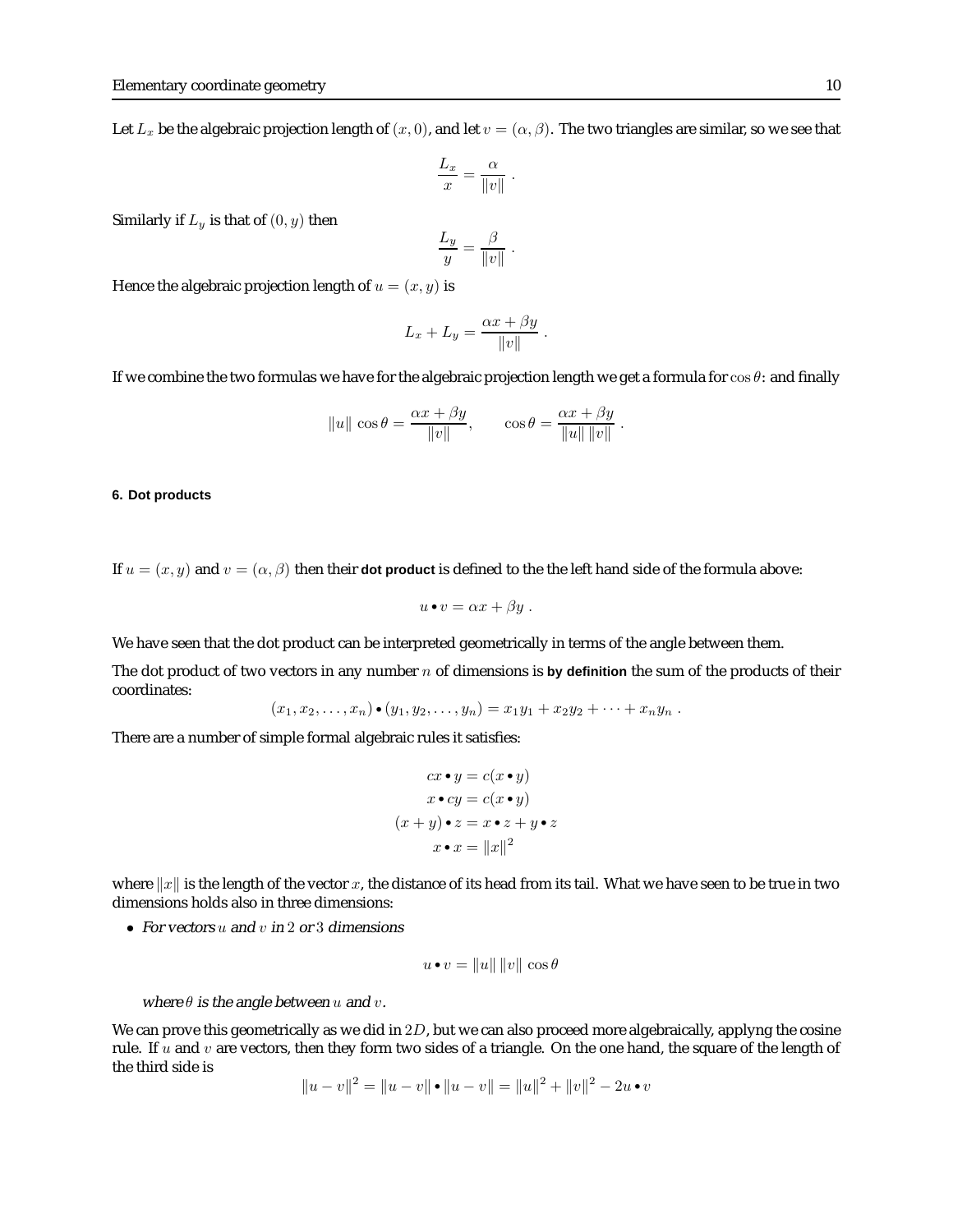Let  $L_x$  be the algebraic projection length of  $(x, 0)$ , and let  $v = (\alpha, \beta)$ . The two triangles are similar, so we see that

$$
\frac{L_x}{x} = \frac{\alpha}{\|v\|} .
$$

Similarly if  $L_y$  is that of  $(0, y)$  then

$$
\frac{L_y}{y} = \frac{\beta}{\|v\|} .
$$

Hence the algebraic projection length of  $u = (x, y)$  is

$$
L_x + L_y = \frac{\alpha x + \beta y}{\|v\|}.
$$

If we combine the two formulas we have for the algebraic projection length we get a formula for  $\cos \theta$ : and finally

$$
||u|| \cos \theta = \frac{\alpha x + \beta y}{||v||}, \qquad \cos \theta = \frac{\alpha x + \beta y}{||u|| ||v||}.
$$

#### **6. Dot products**

If  $u = (x, y)$  and  $v = (\alpha, \beta)$  then their **dot product** is defined to the the left hand side of the formula above:

$$
u\bullet v = \alpha x + \beta y.
$$

We have seen that the dot product can be interpreted geometrically in terms of the angle between them.

The dot product of two vectors in any number n of dimensions is **by definition** the sum of the products of their coordinates:

$$
(x_1, x_2, \ldots, x_n) \bullet (y_1, y_2, \ldots, y_n) = x_1y_1 + x_2y_2 + \cdots + x_ny_n.
$$

There are a number of simple formal algebraic rules it satisfies:

$$
cx \bullet y = c(x \bullet y)
$$

$$
x \bullet cy = c(x \bullet y)
$$

$$
(x + y) \bullet z = x \bullet z + y \bullet z
$$

$$
x \bullet x = ||x||^2
$$

where  $||x||$  is the length of the vector x, the distance of its head from its tail. What we have seen to be true in two dimensions holds also in three dimensions:

• For vectors  $u$  and  $v$  in 2 or 3 dimensions

$$
u \bullet v = \|u\| \|v\| \cos \theta
$$

where  $\theta$  is the angle between u and v.

We can prove this geometrically as we did in  $2D$ , but we can also proceed more algebraically, applyng the cosine rule. If  $u$  and  $v$  are vectors, then they form two sides of a triangle. On the one hand, the square of the length of the third side is

$$
||u - v||2 = ||u - v|| \bullet ||u - v|| = ||u||2 + ||v||2 - 2u \bullet v
$$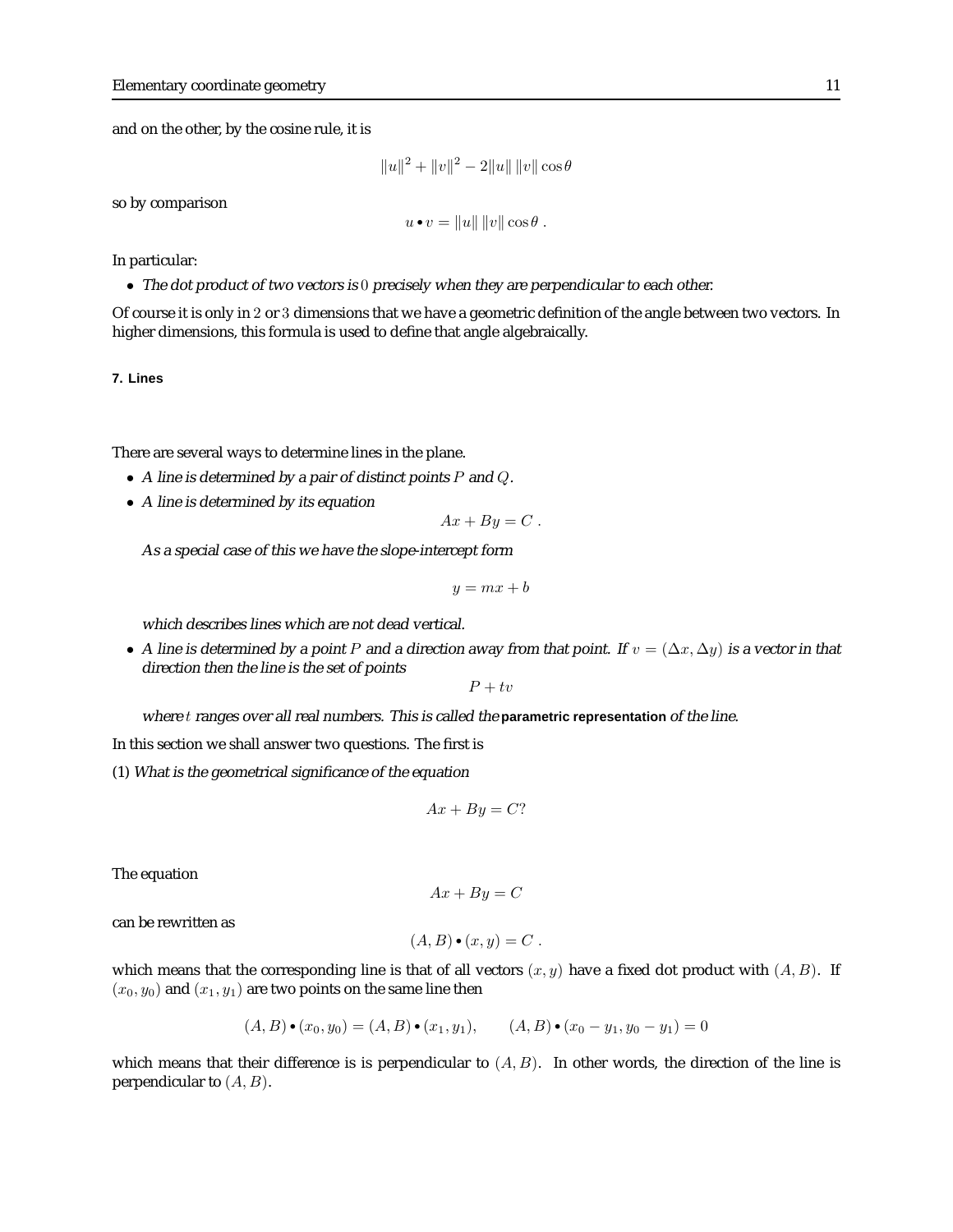and on the other, by the cosine rule, it is

$$
||u||^2 + ||v||^2 - 2||u|| \, ||v|| \cos \theta
$$

so by comparison

$$
u \bullet v = \|u\| \|v\| \cos \theta.
$$

In particular:

• The dot product of two vectors is 0 precisely when they are perpendicular to each other.

Of course it is only in 2 or 3 dimensions that we have a geometric definition of the angle between two vectors. In higher dimensions, this formula is used to define that angle algebraically.

**7. Lines**

There are several ways to determine lines in the plane.

- A line is determined by a pair of distinct points  $P$  and  $Q$ .
- <sup>A</sup> line is determined by its equation

$$
Ax + By = C.
$$

As <sup>a</sup> special case of this we have the slope-intercept form

$$
y = mx + b
$$

which describes lines which are not dead vertical.

• A line is determined by a point P and a direction away from that point. If  $v = (\Delta x, \Delta y)$  is a vector in that direction then the line is the set of points

$$
P+tv
$$

where t ranges over all real numbers. This is called the **parametric representation** of the line.

In this section we shall answer two questions. The first is

(1) What is the geometrical significance of the equation

$$
Ax + By = C?
$$

The equation

can be rewritten as

$$
(A,B)\bullet(x,y)=C
$$

 $Ax + By = C$ 

which means that the corresponding line is that of all vectors  $(x, y)$  have a fixed dot product with  $(A, B)$ . If  $(x_0, y_0)$  and  $(x_1, y_1)$  are two points on the same line then

$$
(A, B) \bullet (x_0, y_0) = (A, B) \bullet (x_1, y_1), \qquad (A, B) \bullet (x_0 - y_1, y_0 - y_1) = 0
$$

which means that their difference is is perpendicular to  $(A, B)$ . In other words, the direction of the line is perpendicular to  $(A, B)$ .